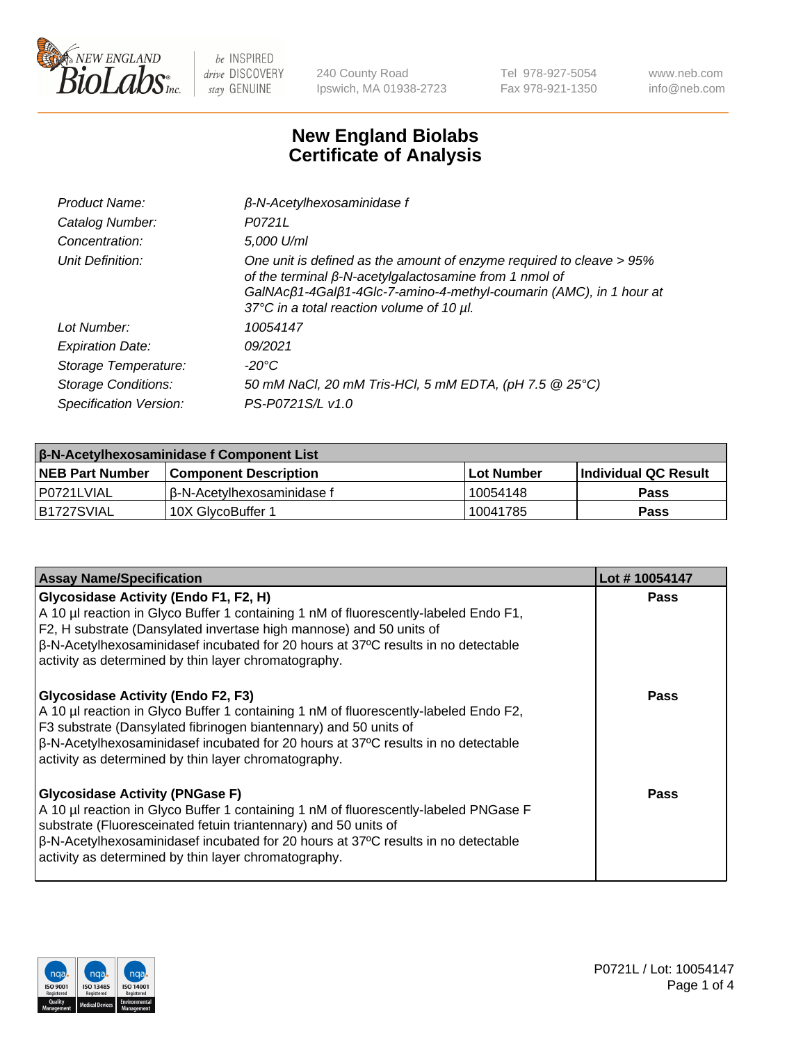

240 County Road Ipswich, MA 01938-2723 Tel 978-927-5054 Fax 978-921-1350 www.neb.com info@neb.com

## **New England Biolabs Certificate of Analysis**

| Product Name:              | $\beta$ -N-Acetylhexosaminidase f                                                                                                                                                                                                                        |
|----------------------------|----------------------------------------------------------------------------------------------------------------------------------------------------------------------------------------------------------------------------------------------------------|
| Catalog Number:            | P0721L                                                                                                                                                                                                                                                   |
| Concentration:             | 5,000 U/ml                                                                                                                                                                                                                                               |
| Unit Definition:           | One unit is defined as the amount of enzyme required to cleave > 95%<br>of the terminal $\beta$ -N-acetylgalactosamine from 1 nmol of<br>GalNAcß1-4Galß1-4Glc-7-amino-4-methyl-coumarin (AMC), in 1 hour at<br>37°C in a total reaction volume of 10 µl. |
| Lot Number:                | 10054147                                                                                                                                                                                                                                                 |
| <b>Expiration Date:</b>    | 09/2021                                                                                                                                                                                                                                                  |
| Storage Temperature:       | -20°C                                                                                                                                                                                                                                                    |
| <b>Storage Conditions:</b> | 50 mM NaCl, 20 mM Tris-HCl, 5 mM EDTA, (pH 7.5 @ 25°C)                                                                                                                                                                                                   |
| Specification Version:     | PS-P0721S/L v1.0                                                                                                                                                                                                                                         |

| <b>β-N-Acetylhexosaminidase f Component List</b> |                              |            |                             |  |  |
|--------------------------------------------------|------------------------------|------------|-----------------------------|--|--|
| <b>NEB Part Number</b>                           | <b>Component Description</b> | Lot Number | <b>Individual QC Result</b> |  |  |
| P0721LVIAL                                       | l β-N-Acetvlhexosaminidase f | 10054148   | Pass                        |  |  |
| IB1727SVIAL                                      | 10X GlvcoBuffer 1            | 10041785   | <b>Pass</b>                 |  |  |

| <b>Assay Name/Specification</b>                                                                                                                                                                                                                                                                                                                                 | Lot #10054147 |
|-----------------------------------------------------------------------------------------------------------------------------------------------------------------------------------------------------------------------------------------------------------------------------------------------------------------------------------------------------------------|---------------|
| <b>Glycosidase Activity (Endo F1, F2, H)</b><br>A 10 µl reaction in Glyco Buffer 1 containing 1 nM of fluorescently-labeled Endo F1,<br>F2, H substrate (Dansylated invertase high mannose) and 50 units of<br>$\beta$ -N-Acetylhexosaminidasef incubated for 20 hours at 37°C results in no detectable<br>activity as determined by thin layer chromatography. | <b>Pass</b>   |
| <b>Glycosidase Activity (Endo F2, F3)</b><br>A 10 µl reaction in Glyco Buffer 1 containing 1 nM of fluorescently-labeled Endo F2,<br>F3 substrate (Dansylated fibrinogen biantennary) and 50 units of<br>$\beta$ -N-Acetylhexosaminidasef incubated for 20 hours at 37°C results in no detectable<br>activity as determined by thin layer chromatography.       | Pass          |
| <b>Glycosidase Activity (PNGase F)</b><br>A 10 µl reaction in Glyco Buffer 1 containing 1 nM of fluorescently-labeled PNGase F<br>substrate (Fluoresceinated fetuin triantennary) and 50 units of<br>$\beta$ -N-Acetylhexosaminidasef incubated for 20 hours at 37°C results in no detectable<br>activity as determined by thin layer chromatography.           | Pass          |

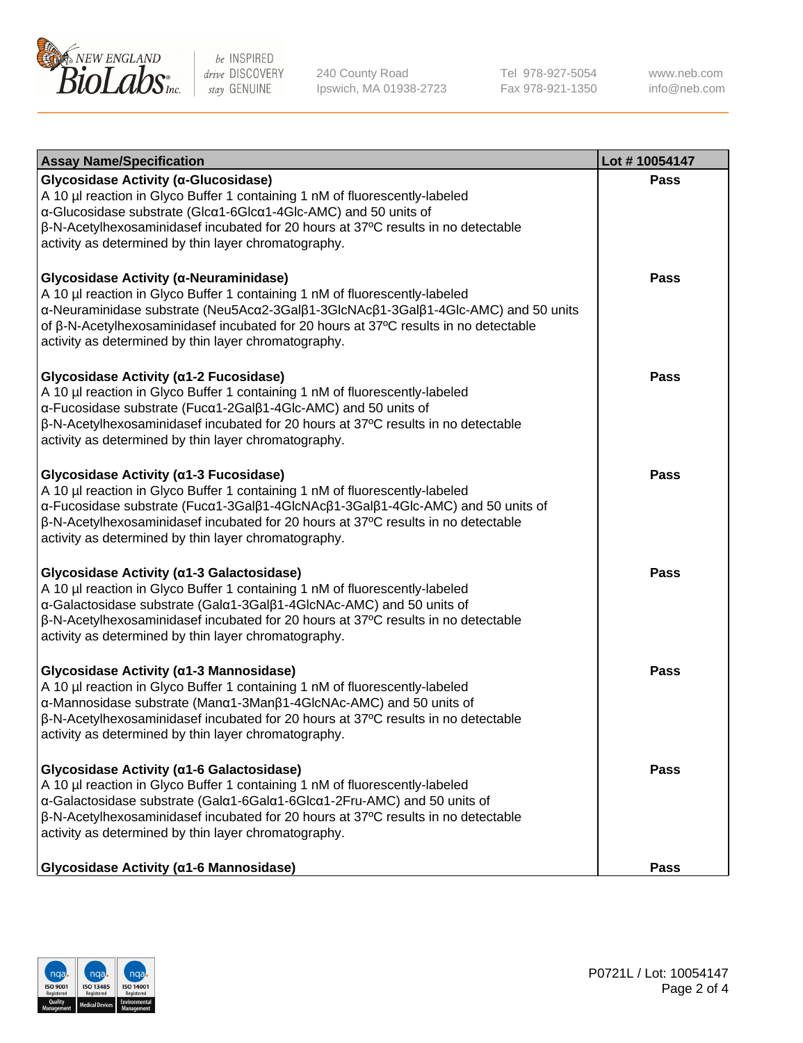

240 County Road Ipswich, MA 01938-2723 Tel 978-927-5054 Fax 978-921-1350 www.neb.com info@neb.com

| <b>Assay Name/Specification</b>                                                                                                                                                                                                                                                                                                                                              | Lot #10054147 |
|------------------------------------------------------------------------------------------------------------------------------------------------------------------------------------------------------------------------------------------------------------------------------------------------------------------------------------------------------------------------------|---------------|
| Glycosidase Activity (α-Glucosidase)<br>A 10 µl reaction in Glyco Buffer 1 containing 1 nM of fluorescently-labeled<br>$\alpha$ -Glucosidase substrate (Glc $\alpha$ 1-6Glc $\alpha$ 1-4Glc-AMC) and 50 units of<br>β-N-Acetylhexosaminidasef incubated for 20 hours at 37°C results in no detectable<br>activity as determined by thin layer chromatography.                | <b>Pass</b>   |
| Glycosidase Activity (α-Neuraminidase)<br>A 10 µl reaction in Glyco Buffer 1 containing 1 nM of fluorescently-labeled<br>α-Neuraminidase substrate (Neu5Acα2-3Galβ1-3GlcNAcβ1-3Galβ1-4Glc-AMC) and 50 units<br>of $\beta$ -N-Acetylhexosaminidasef incubated for 20 hours at 37 $\degree$ C results in no detectable<br>activity as determined by thin layer chromatography. | <b>Pass</b>   |
| Glycosidase Activity (α1-2 Fucosidase)<br>A 10 µl reaction in Glyco Buffer 1 containing 1 nM of fluorescently-labeled<br>α-Fucosidase substrate (Fucα1-2Galβ1-4Glc-AMC) and 50 units of<br>$\beta$ -N-Acetylhexosaminidasef incubated for 20 hours at 37 $\degree$ C results in no detectable<br>activity as determined by thin layer chromatography.                        | <b>Pass</b>   |
| Glycosidase Activity (a1-3 Fucosidase)<br>A 10 µl reaction in Glyco Buffer 1 containing 1 nM of fluorescently-labeled<br>α-Fucosidase substrate (Fucα1-3Galβ1-4GlcNAcβ1-3Galβ1-4Glc-AMC) and 50 units of<br>$\beta$ -N-Acetylhexosaminidasef incubated for 20 hours at 37 $\degree$ C results in no detectable<br>activity as determined by thin layer chromatography.       | Pass          |
| Glycosidase Activity (a1-3 Galactosidase)<br>A 10 µl reaction in Glyco Buffer 1 containing 1 nM of fluorescently-labeled<br>α-Galactosidase substrate (Galα1-3Galβ1-4GlcNAc-AMC) and 50 units of<br>$\beta$ -N-Acetylhexosaminidasef incubated for 20 hours at 37 $\degree$ C results in no detectable<br>activity as determined by thin layer chromatography.               | <b>Pass</b>   |
| Glycosidase Activity (α1-3 Mannosidase)<br>A 10 µl reaction in Glyco Buffer 1 containing 1 nM of fluorescently-labeled<br>α-Mannosidase substrate (Manα1-3Manβ1-4GlcNAc-AMC) and 50 units of<br>β-N-Acetylhexosaminidasef incubated for 20 hours at 37°C results in no detectable<br>activity as determined by thin layer chromatography.                                    | <b>Pass</b>   |
| Glycosidase Activity (α1-6 Galactosidase)<br>A 10 µl reaction in Glyco Buffer 1 containing 1 nM of fluorescently-labeled<br>α-Galactosidase substrate (Galα1-6Galα1-6Glcα1-2Fru-AMC) and 50 units of<br>$\beta$ -N-Acetylhexosaminidasef incubated for 20 hours at 37 $\degree$ C results in no detectable<br>activity as determined by thin layer chromatography.           | <b>Pass</b>   |
| Glycosidase Activity (a1-6 Mannosidase)                                                                                                                                                                                                                                                                                                                                      | <b>Pass</b>   |

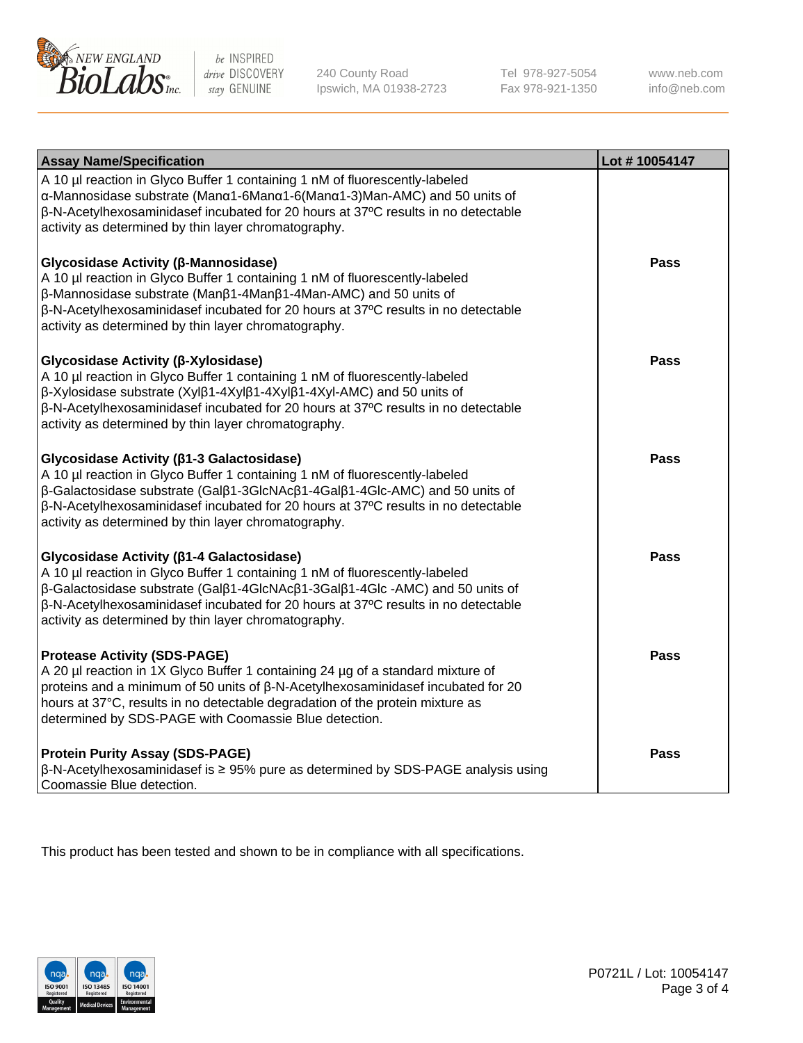

240 County Road Ipswich, MA 01938-2723 Tel 978-927-5054 Fax 978-921-1350 www.neb.com info@neb.com

| <b>Assay Name/Specification</b>                                                                                                                                                                                                                                                                                                                             | Lot #10054147 |
|-------------------------------------------------------------------------------------------------------------------------------------------------------------------------------------------------------------------------------------------------------------------------------------------------------------------------------------------------------------|---------------|
| A 10 µl reaction in Glyco Buffer 1 containing 1 nM of fluorescently-labeled<br>α-Mannosidase substrate (Manα1-6Manα1-6(Manα1-3)Man-AMC) and 50 units of<br>β-N-Acetylhexosaminidasef incubated for 20 hours at 37°C results in no detectable<br>activity as determined by thin layer chromatography.                                                        |               |
| Glycosidase Activity (β-Mannosidase)<br>A 10 µl reaction in Glyco Buffer 1 containing 1 nM of fluorescently-labeled<br>β-Mannosidase substrate (Manβ1-4Manβ1-4Man-AMC) and 50 units of<br>β-N-Acetylhexosaminidasef incubated for 20 hours at 37°C results in no detectable<br>activity as determined by thin layer chromatography.                         | <b>Pass</b>   |
| Glycosidase Activity (β-Xylosidase)<br>A 10 µl reaction in Glyco Buffer 1 containing 1 nM of fluorescently-labeled<br>β-Xylosidase substrate (Xylβ1-4Xylβ1-4Xylβ1-4Xyl-AMC) and 50 units of<br>β-N-Acetylhexosaminidasef incubated for 20 hours at 37°C results in no detectable<br>activity as determined by thin layer chromatography.                    | <b>Pass</b>   |
| Glycosidase Activity (β1-3 Galactosidase)<br>A 10 µl reaction in Glyco Buffer 1 containing 1 nM of fluorescently-labeled<br>β-Galactosidase substrate (Galβ1-3GlcNAcβ1-4Galβ1-4Glc-AMC) and 50 units of<br>β-N-Acetylhexosaminidasef incubated for 20 hours at 37°C results in no detectable<br>activity as determined by thin layer chromatography.        | <b>Pass</b>   |
| Glycosidase Activity (β1-4 Galactosidase)<br>A 10 µl reaction in Glyco Buffer 1 containing 1 nM of fluorescently-labeled<br>β-Galactosidase substrate (Galβ1-4GlcNAcβ1-3Galβ1-4Glc-AMC) and 50 units of<br>β-N-Acetylhexosaminidasef incubated for 20 hours at 37°C results in no detectable<br>activity as determined by thin layer chromatography.        | <b>Pass</b>   |
| <b>Protease Activity (SDS-PAGE)</b><br>A 20 µl reaction in 1X Glyco Buffer 1 containing 24 µg of a standard mixture of<br>proteins and a minimum of 50 units of $\beta$ -N-Acetylhexosaminidasef incubated for 20<br>hours at 37°C, results in no detectable degradation of the protein mixture as<br>determined by SDS-PAGE with Coomassie Blue detection. | Pass          |
| <b>Protein Purity Assay (SDS-PAGE)</b><br>$\beta$ -N-Acetylhexosaminidasef is $\geq$ 95% pure as determined by SDS-PAGE analysis using<br>Coomassie Blue detection.                                                                                                                                                                                         | <b>Pass</b>   |

This product has been tested and shown to be in compliance with all specifications.